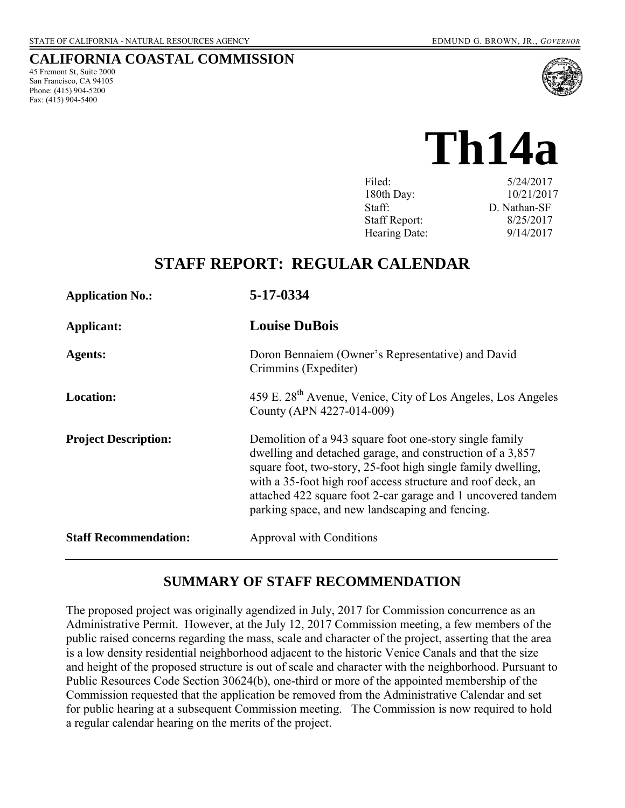#### **CALIFORNIA COASTAL COMMISSION**

45 Fremont St, Suite 2000 San Francisco, CA 94105 Phone: (415) 904-5200 Fax:  $(415)$  904-5400



# **Th14a**

| Filed:               | 5/24/2017    |
|----------------------|--------------|
| 180th Day:           | 10/21/2017   |
| Staff:               | D. Nathan-SF |
| <b>Staff Report:</b> | 8/25/2017    |
| Hearing Date:        | 9/14/2017    |

# **STAFF REPORT: REGULAR CALENDAR**

| <b>Application No.:</b>      | 5-17-0334                                                                                                                                                                                                                                                                                                                                                              |
|------------------------------|------------------------------------------------------------------------------------------------------------------------------------------------------------------------------------------------------------------------------------------------------------------------------------------------------------------------------------------------------------------------|
| Applicant:                   | <b>Louise DuBois</b>                                                                                                                                                                                                                                                                                                                                                   |
| <b>Agents:</b>               | Doron Bennaiem (Owner's Representative) and David<br>Crimmins (Expediter)                                                                                                                                                                                                                                                                                              |
| <b>Location:</b>             | 459 E. 28 <sup>th</sup> Avenue, Venice, City of Los Angeles, Los Angeles<br>County (APN 4227-014-009)                                                                                                                                                                                                                                                                  |
| <b>Project Description:</b>  | Demolition of a 943 square foot one-story single family<br>dwelling and detached garage, and construction of a 3,857<br>square foot, two-story, 25-foot high single family dwelling,<br>with a 35-foot high roof access structure and roof deck, an<br>attached 422 square foot 2-car garage and 1 uncovered tandem<br>parking space, and new landscaping and fencing. |
| <b>Staff Recommendation:</b> | <b>Approval with Conditions</b>                                                                                                                                                                                                                                                                                                                                        |

## **SUMMARY OF STAFF RECOMMENDATION**

The proposed project was originally agendized in July, 2017 for Commission concurrence as an Administrative Permit. However, at the July 12, 2017 Commission meeting, a few members of the public raised concerns regarding the mass, scale and character of the project, asserting that the area is a low density residential neighborhood adjacent to the historic Venice Canals and that the size and height of the proposed structure is out of scale and character with the neighborhood. Pursuant to Public Resources Code Section 30624(b), one-third or more of the appointed membership of the Commission requested that the application be removed from the Administrative Calendar and set for public hearing at a subsequent Commission meeting. The Commission is now required to hold a regular calendar hearing on the merits of the project.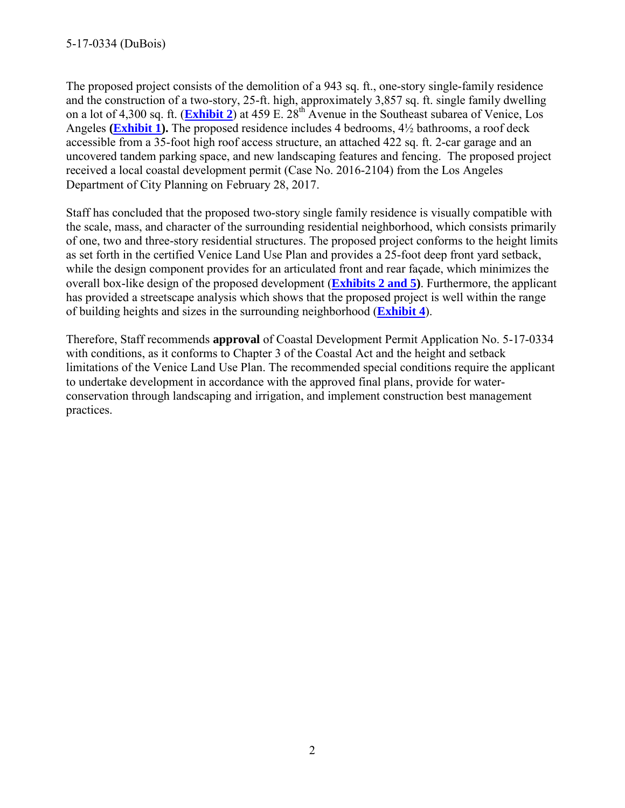The proposed project consists of the demolition of a 943 sq. ft., one-story single-family residence and the construction of a two-story, 25-ft. high, approximately 3,857 sq. ft. single family dwelling on a lot of 4,300 sq. ft. (**[Exhibit 2](https://documents.coastal.ca.gov/reports/2017/9/th14a/th14a-9-2017-exhibits.pdf)**) at 459 E. 28th Avenue in the Southeast subarea of Venice, Los Angeles **[\(Exhibit 1\)](https://documents.coastal.ca.gov/reports/2017/9/th14a/th14a-9-2017-exhibits.pdf).** The proposed residence includes 4 bedrooms, 4½ bathrooms, a roof deck accessible from a 35-foot high roof access structure, an attached 422 sq. ft. 2-car garage and an uncovered tandem parking space, and new landscaping features and fencing. The proposed project received a local coastal development permit (Case No. 2016-2104) from the Los Angeles Department of City Planning on February 28, 2017.

Staff has concluded that the proposed two-story single family residence is visually compatible with the scale, mass, and character of the surrounding residential neighborhood, which consists primarily of one, two and three-story residential structures. The proposed project conforms to the height limits as set forth in the certified Venice Land Use Plan and provides a 25-foot deep front yard setback, while the design component provides for an articulated front and rear façade, which minimizes the overall box-like design of the proposed development (**[Exhibits 2 and 5\)](https://documents.coastal.ca.gov/reports/2017/9/th14a/th14a-9-2017-exhibits.pdf)**. Furthermore, the applicant has provided a streetscape analysis which shows that the proposed project is well within the range of building heights and sizes in the surrounding neighborhood (**[Exhibit 4](https://documents.coastal.ca.gov/reports/2017/9/th14a/th14a-9-2017-exhibits.pdf)**).

Therefore, Staff recommends **approval** of Coastal Development Permit Application No. 5-17-0334 with conditions, as it conforms to Chapter 3 of the Coastal Act and the height and setback limitations of the Venice Land Use Plan. The recommended special conditions require the applicant to undertake development in accordance with the approved final plans, provide for waterconservation through landscaping and irrigation, and implement construction best management practices.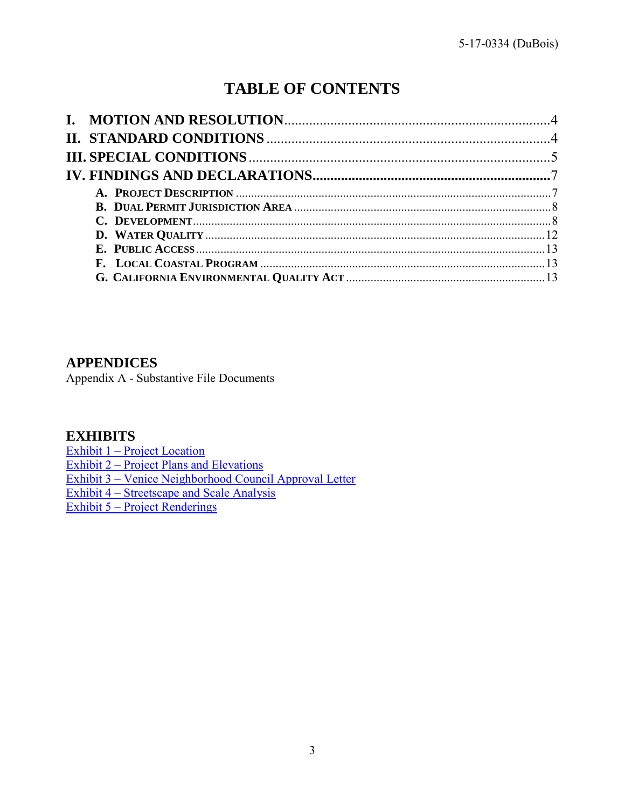# **TABLE OF CONTENTS**

#### **APPENDICES**

Appendix A - Substantive File Documents

# **EXHIBITS**

[Exhibit 1 – Project Location](https://documents.coastal.ca.gov/reports/2017/9/th14a/th14a-9-2017-exhibits.pdf) Exhibit 2 – [Project Plans and Elevations](https://documents.coastal.ca.gov/reports/2017/9/th14a/th14a-9-2017-exhibits.pdf) Exhibit 3 – [Venice Neighborhood Council Approval Letter](https://documents.coastal.ca.gov/reports/2017/9/th14a/th14a-9-2017-exhibits.pdf) Exhibit 4 – [Streetscape and Scale Analysis](https://documents.coastal.ca.gov/reports/2017/9/th14a/th14a-9-2017-exhibits.pdf) Exhibit 5 – [Project Renderings](https://documents.coastal.ca.gov/reports/2017/9/th14a/th14a-9-2017-exhibits.pdf)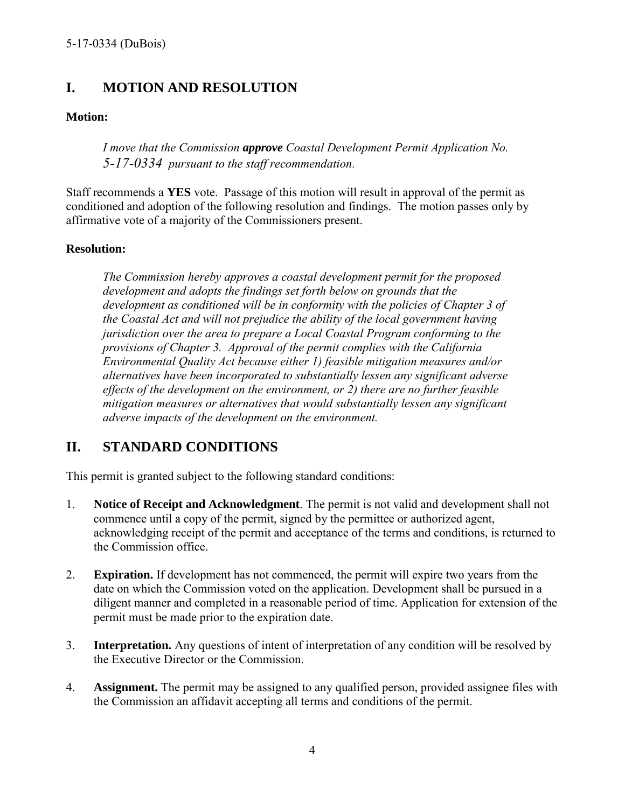# <span id="page-3-0"></span>**I. MOTION AND RESOLUTION**

#### **Motion:**

*I move that the Commission approve Coastal Development Permit Application No. 5-17-0334 pursuant to the staff recommendation.*

Staff recommends a **YES** vote. Passage of this motion will result in approval of the permit as conditioned and adoption of the following resolution and findings. The motion passes only by affirmative vote of a majority of the Commissioners present.

#### **Resolution:**

*The Commission hereby approves a coastal development permit for the proposed development and adopts the findings set forth below on grounds that the development as conditioned will be in conformity with the policies of Chapter 3 of the Coastal Act and will not prejudice the ability of the local government having jurisdiction over the area to prepare a Local Coastal Program conforming to the provisions of Chapter 3. Approval of the permit complies with the California Environmental Quality Act because either 1) feasible mitigation measures and/or alternatives have been incorporated to substantially lessen any significant adverse effects of the development on the environment, or 2) there are no further feasible mitigation measures or alternatives that would substantially lessen any significant adverse impacts of the development on the environment.* 

## <span id="page-3-1"></span>**II. STANDARD CONDITIONS**

This permit is granted subject to the following standard conditions:

- 1. **Notice of Receipt and Acknowledgment**. The permit is not valid and development shall not commence until a copy of the permit, signed by the permittee or authorized agent, acknowledging receipt of the permit and acceptance of the terms and conditions, is returned to the Commission office.
- 2. **Expiration.** If development has not commenced, the permit will expire two years from the date on which the Commission voted on the application. Development shall be pursued in a diligent manner and completed in a reasonable period of time. Application for extension of the permit must be made prior to the expiration date.
- 3. **Interpretation.** Any questions of intent of interpretation of any condition will be resolved by the Executive Director or the Commission.
- 4. **Assignment.** The permit may be assigned to any qualified person, provided assignee files with the Commission an affidavit accepting all terms and conditions of the permit.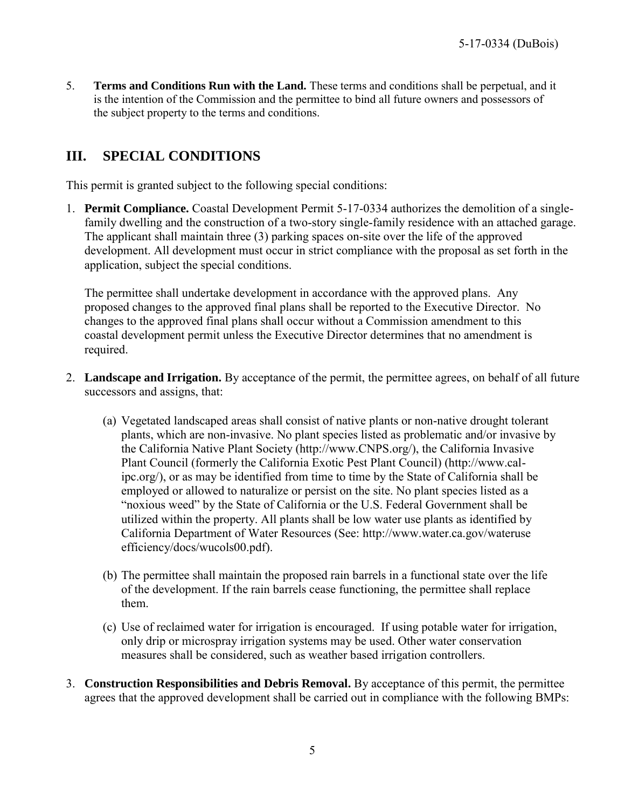5. **Terms and Conditions Run with the Land.** These terms and conditions shall be perpetual, and it is the intention of the Commission and the permittee to bind all future owners and possessors of the subject property to the terms and conditions.

# <span id="page-4-0"></span>**III. SPECIAL CONDITIONS**

This permit is granted subject to the following special conditions:

<span id="page-4-1"></span>1. **Permit Compliance.** Coastal Development Permit 5-17-0334 authorizes the demolition of a singlefamily dwelling and the construction of a two-story single-family residence with an attached garage. The applicant shall maintain three (3) parking spaces on-site over the life of the approved development. All development must occur in strict compliance with the proposal as set forth in the application, subject the special conditions.

The permittee shall undertake development in accordance with the approved plans. Any proposed changes to the approved final plans shall be reported to the Executive Director. No changes to the approved final plans shall occur without a Commission amendment to this coastal development permit unless the Executive Director determines that no amendment is required.

- <span id="page-4-2"></span>2. **Landscape and Irrigation.** By acceptance of the permit, the permittee agrees, on behalf of all future successors and assigns, that:
	- (a) Vegetated landscaped areas shall consist of native plants or non-native drought tolerant plants, which are non-invasive. No plant species listed as problematic and/or invasive by the California Native Plant Society (http://www.CNPS.org/), the California Invasive Plant Council (formerly the California Exotic Pest Plant Council) (http://www.calipc.org/), or as may be identified from time to time by the State of California shall be employed or allowed to naturalize or persist on the site. No plant species listed as a "noxious weed" by the State of California or the U.S. Federal Government shall be utilized within the property. All plants shall be low water use plants as identified by California Department of Water Resources (See: http://www.water.ca.gov/wateruse efficiency/docs/wucols00.pdf).
	- (b) The permittee shall maintain the proposed rain barrels in a functional state over the life of the development. If the rain barrels cease functioning, the permittee shall replace them.
	- (c) Use of reclaimed water for irrigation is encouraged. If using potable water for irrigation, only drip or microspray irrigation systems may be used. Other water conservation measures shall be considered, such as weather based irrigation controllers.
- <span id="page-4-3"></span>3. **Construction Responsibilities and Debris Removal.** By acceptance of this permit, the permittee agrees that the approved development shall be carried out in compliance with the following BMPs: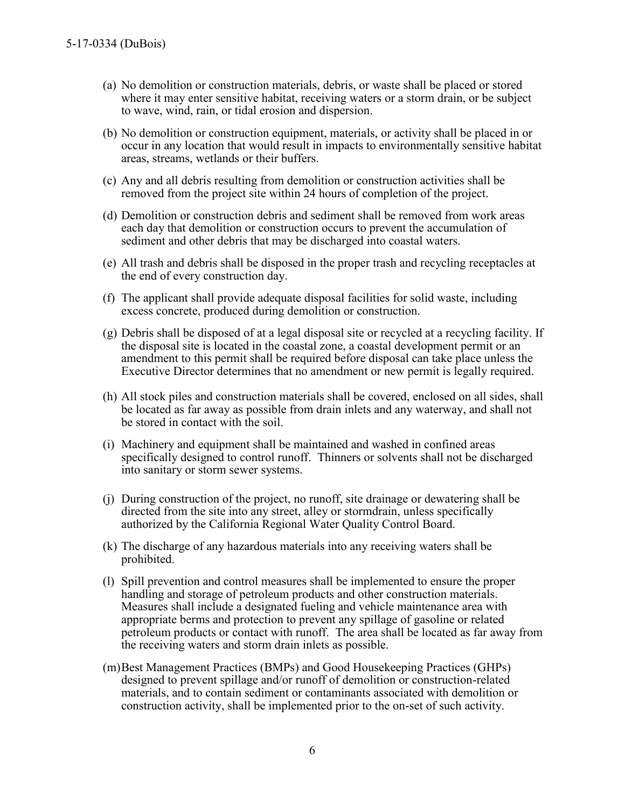- (a) No demolition or construction materials, debris, or waste shall be placed or stored where it may enter sensitive habitat, receiving waters or a storm drain, or be subject to wave, wind, rain, or tidal erosion and dispersion.
- (b) No demolition or construction equipment, materials, or activity shall be placed in or occur in any location that would result in impacts to environmentally sensitive habitat areas, streams, wetlands or their buffers.
- (c) Any and all debris resulting from demolition or construction activities shall be removed from the project site within 24 hours of completion of the project.
- (d) Demolition or construction debris and sediment shall be removed from work areas each day that demolition or construction occurs to prevent the accumulation of sediment and other debris that may be discharged into coastal waters.
- (e) All trash and debris shall be disposed in the proper trash and recycling receptacles at the end of every construction day.
- (f) The applicant shall provide adequate disposal facilities for solid waste, including excess concrete, produced during demolition or construction.
- (g) Debris shall be disposed of at a legal disposal site or recycled at a recycling facility. If the disposal site is located in the coastal zone, a coastal development permit or an amendment to this permit shall be required before disposal can take place unless the Executive Director determines that no amendment or new permit is legally required.
- (h) All stock piles and construction materials shall be covered, enclosed on all sides, shall be located as far away as possible from drain inlets and any waterway, and shall not be stored in contact with the soil.
- (i) Machinery and equipment shall be maintained and washed in confined areas specifically designed to control runoff. Thinners or solvents shall not be discharged into sanitary or storm sewer systems.
- (j) During construction of the project, no runoff, site drainage or dewatering shall be directed from the site into any street, alley or stormdrain, unless specifically authorized by the California Regional Water Quality Control Board.
- (k) The discharge of any hazardous materials into any receiving waters shall be prohibited.
- (l) Spill prevention and control measures shall be implemented to ensure the proper handling and storage of petroleum products and other construction materials. Measures shall include a designated fueling and vehicle maintenance area with appropriate berms and protection to prevent any spillage of gasoline or related petroleum products or contact with runoff. The area shall be located as far away from the receiving waters and storm drain inlets as possible.
- (m)Best Management Practices (BMPs) and Good Housekeeping Practices (GHPs) designed to prevent spillage and/or runoff of demolition or construction-related materials, and to contain sediment or contaminants associated with demolition or construction activity, shall be implemented prior to the on-set of such activity.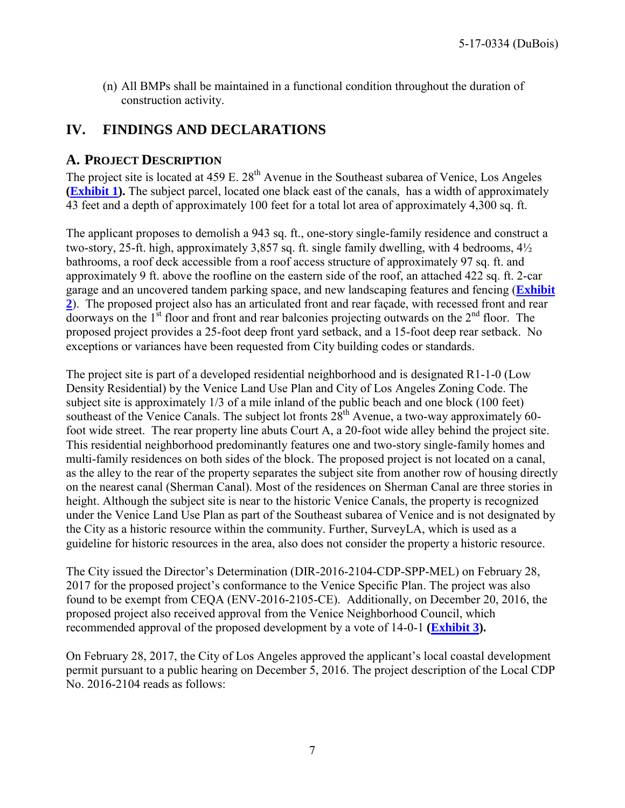(n) All BMPs shall be maintained in a functional condition throughout the duration of construction activity.

# <span id="page-6-0"></span>**IV. FINDINGS AND DECLARATIONS**

#### <span id="page-6-1"></span>**A. PROJECT DESCRIPTION**

The project site is located at  $459 \text{ E}$ .  $28^{\text{th}}$  Avenue in the Southeast subarea of Venice, Los Angeles **[\(Exhibit 1\)](https://documents.coastal.ca.gov/reports/2017/9/th14a/th14a-9-2017-exhibits.pdf).** The subject parcel, located one black east of the canals, has a width of approximately 43 feet and a depth of approximately 100 feet for a total lot area of approximately 4,300 sq. ft.

The applicant proposes to demolish a 943 sq. ft., one-story single-family residence and construct a two-story, 25-ft. high, approximately 3,857 sq. ft. single family dwelling, with 4 bedrooms, 4½ bathrooms, a roof deck accessible from a roof access structure of approximately 97 sq. ft. and approximately 9 ft. above the roofline on the eastern side of the roof, an attached 422 sq. ft. 2-car garage and an uncovered tandem parking space, and new landscaping features and fencing (**[Exhibit](https://documents.coastal.ca.gov/reports/2017/9/th14a/th14a-9-2017-exhibits.pdf)  [2](https://documents.coastal.ca.gov/reports/2017/9/th14a/th14a-9-2017-exhibits.pdf)**). The proposed project also has an articulated front and rear façade, with recessed front and rear doorways on the  $1<sup>st</sup>$  floor and front and rear balconies projecting outwards on the  $2<sup>nd</sup>$  floor. The proposed project provides a 25-foot deep front yard setback, and a 15-foot deep rear setback. No exceptions or variances have been requested from City building codes or standards.

The project site is part of a developed residential neighborhood and is designated R1-1-0 (Low Density Residential) by the Venice Land Use Plan and City of Los Angeles Zoning Code. The subject site is approximately 1/3 of a mile inland of the public beach and one block (100 feet) southeast of the Venice Canals. The subject lot fronts  $28<sup>th</sup>$  Avenue, a two-way approximately 60foot wide street. The rear property line abuts Court A, a 20-foot wide alley behind the project site. This residential neighborhood predominantly features one and two-story single-family homes and multi-family residences on both sides of the block. The proposed project is not located on a canal, as the alley to the rear of the property separates the subject site from another row of housing directly on the nearest canal (Sherman Canal). Most of the residences on Sherman Canal are three stories in height. Although the subject site is near to the historic Venice Canals, the property is recognized under the Venice Land Use Plan as part of the Southeast subarea of Venice and is not designated by the City as a historic resource within the community. Further, SurveyLA, which is used as a guideline for historic resources in the area, also does not consider the property a historic resource.

The City issued the Director's Determination (DIR-2016-2104-CDP-SPP-MEL) on February 28, 2017 for the proposed project's conformance to the Venice Specific Plan. The project was also found to be exempt from CEQA (ENV-2016-2105-CE). Additionally, on December 20, 2016, the proposed project also received approval from the Venice Neighborhood Council, which recommended approval of the proposed development by a vote of 14-0-1 **[\(Exhibit 3\)](https://documents.coastal.ca.gov/reports/2017/9/th14a/th14a-9-2017-exhibits.pdf).**

On February 28, 2017, the City of Los Angeles approved the applicant's local coastal development permit pursuant to a public hearing on December 5, 2016. The project description of the Local CDP No. 2016-2104 reads as follows: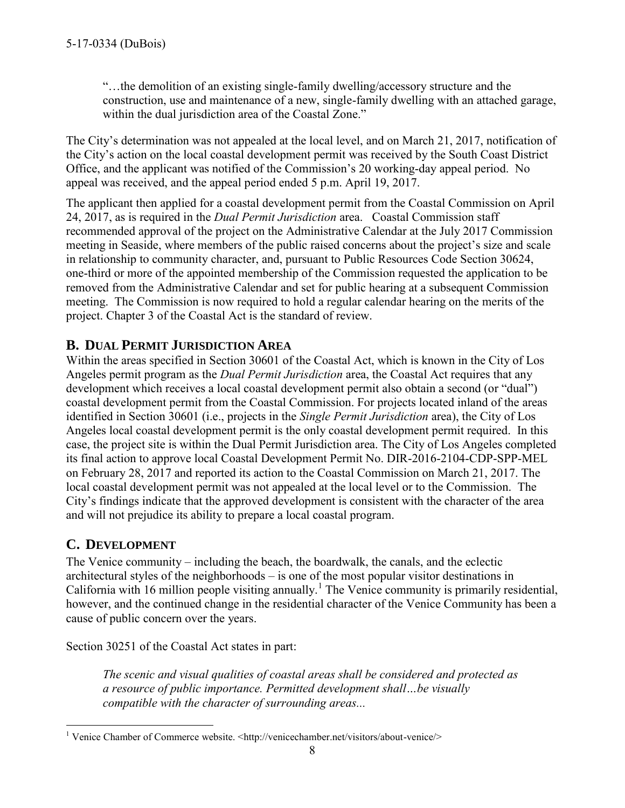"…the demolition of an existing single-family dwelling/accessory structure and the construction, use and maintenance of a new, single-family dwelling with an attached garage, within the dual jurisdiction area of the Coastal Zone."

The City's determination was not appealed at the local level, and on March 21, 2017, notification of the City's action on the local coastal development permit was received by the South Coast District Office, and the applicant was notified of the Commission's 20 working-day appeal period. No appeal was received, and the appeal period ended 5 p.m. April 19, 2017.

The applicant then applied for a coastal development permit from the Coastal Commission on April 24, 2017, as is required in the *Dual Permit Jurisdiction* area. Coastal Commission staff recommended approval of the project on the Administrative Calendar at the July 2017 Commission meeting in Seaside, where members of the public raised concerns about the project's size and scale in relationship to community character, and, pursuant to Public Resources Code Section 30624, one-third or more of the appointed membership of the Commission requested the application to be removed from the Administrative Calendar and set for public hearing at a subsequent Commission meeting. The Commission is now required to hold a regular calendar hearing on the merits of the project. Chapter 3 of the Coastal Act is the standard of review.

# <span id="page-7-0"></span>**B. DUAL PERMIT JURISDICTION AREA**

Within the areas specified in Section 30601 of the Coastal Act, which is known in the City of Los Angeles permit program as the *Dual Permit Jurisdiction* area, the Coastal Act requires that any development which receives a local coastal development permit also obtain a second (or "dual") coastal development permit from the Coastal Commission. For projects located inland of the areas identified in Section 30601 (i.e., projects in the *Single Permit Jurisdiction* area), the City of Los Angeles local coastal development permit is the only coastal development permit required. In this case, the project site is within the Dual Permit Jurisdiction area. The City of Los Angeles completed its final action to approve local Coastal Development Permit No. DIR-2016-2104-CDP-SPP-MEL on February 28, 2017 and reported its action to the Coastal Commission on March 21, 2017. The local coastal development permit was not appealed at the local level or to the Commission. The City's findings indicate that the approved development is consistent with the character of the area and will not prejudice its ability to prepare a local coastal program.

## <span id="page-7-1"></span>**C. DEVELOPMENT**

The Venice community – including the beach, the boardwalk, the canals, and the eclectic architectural styles of the neighborhoods – is one of the most popular visitor destinations in California with 16 million people visiting annually.<sup>1</sup> The Venice community is primarily residential, however, and the continued change in the residential character of the Venice Community has been a cause of public concern over the years.

Section 30251 of the Coastal Act states in part:

*The scenic and visual qualities of coastal areas shall be considered and protected as a resource of public importance. Permitted development shall…be visually compatible with the character of surrounding areas...*

 1 Venice Chamber of Commerce website. <http://venicechamber.net/visitors/about-venice/>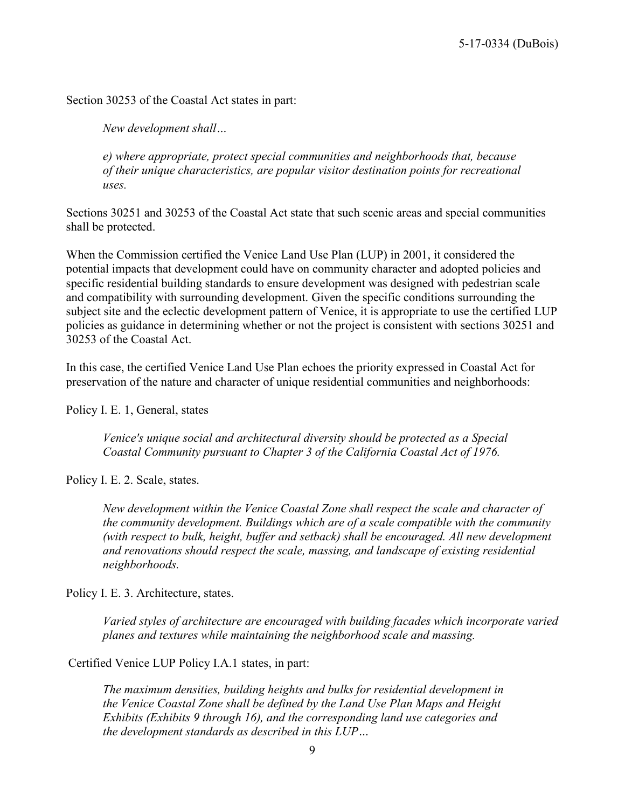Section 30253 of the Coastal Act states in part:

*New development shall…* 

*e) where appropriate, protect special communities and neighborhoods that, because of their unique characteristics, are popular visitor destination points for recreational uses.* 

Sections 30251 and 30253 of the Coastal Act state that such scenic areas and special communities shall be protected.

When the Commission certified the Venice Land Use Plan (LUP) in 2001, it considered the potential impacts that development could have on community character and adopted policies and specific residential building standards to ensure development was designed with pedestrian scale and compatibility with surrounding development. Given the specific conditions surrounding the subject site and the eclectic development pattern of Venice, it is appropriate to use the certified LUP policies as guidance in determining whether or not the project is consistent with sections 30251 and 30253 of the Coastal Act.

In this case, the certified Venice Land Use Plan echoes the priority expressed in Coastal Act for preservation of the nature and character of unique residential communities and neighborhoods:

Policy I. E. 1, General, states

*Venice's unique social and architectural diversity should be protected as a Special Coastal Community pursuant to Chapter 3 of the California Coastal Act of 1976.* 

Policy I. E. 2. Scale, states.

*New development within the Venice Coastal Zone shall respect the scale and character of the community development. Buildings which are of a scale compatible with the community (with respect to bulk, height, buffer and setback) shall be encouraged. All new development and renovations should respect the scale, massing, and landscape of existing residential neighborhoods.* 

Policy I. E. 3. Architecture, states.

*Varied styles of architecture are encouraged with building facades which incorporate varied planes and textures while maintaining the neighborhood scale and massing.* 

Certified Venice LUP Policy I.A.1 states, in part:

*The maximum densities, building heights and bulks for residential development in the Venice Coastal Zone shall be defined by the Land Use Plan Maps and Height Exhibits (Exhibits 9 through 16), and the corresponding land use categories and the development standards as described in this LUP…*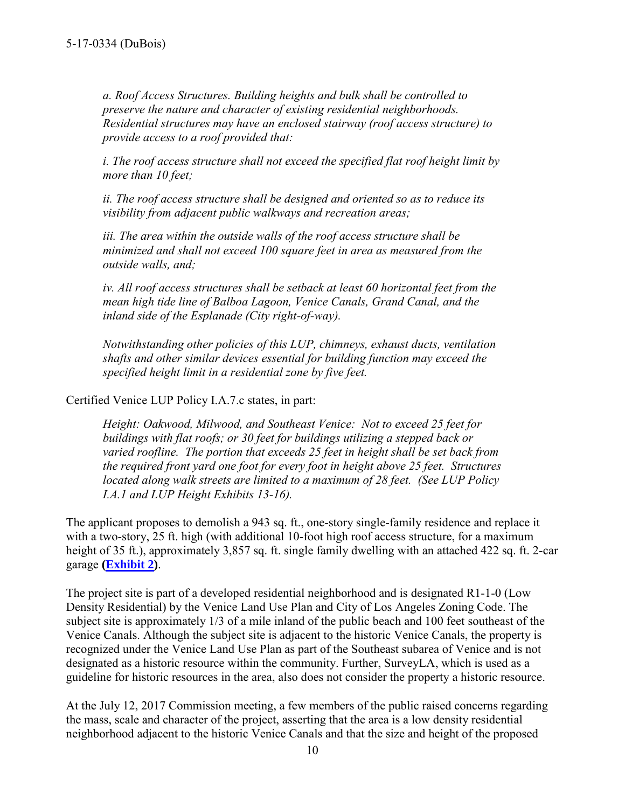*a. Roof Access Structures. Building heights and bulk shall be controlled to preserve the nature and character of existing residential neighborhoods. Residential structures may have an enclosed stairway (roof access structure) to provide access to a roof provided that:* 

*i. The roof access structure shall not exceed the specified flat roof height limit by more than 10 feet;* 

*ii. The roof access structure shall be designed and oriented so as to reduce its visibility from adjacent public walkways and recreation areas;* 

*iii. The area within the outside walls of the roof access structure shall be minimized and shall not exceed 100 square feet in area as measured from the outside walls, and;* 

*iv. All roof access structures shall be setback at least 60 horizontal feet from the mean high tide line of Balboa Lagoon, Venice Canals, Grand Canal, and the inland side of the Esplanade (City right-of-way).* 

*Notwithstanding other policies of this LUP, chimneys, exhaust ducts, ventilation shafts and other similar devices essential for building function may exceed the specified height limit in a residential zone by five feet.* 

Certified Venice LUP Policy I.A.7.c states, in part:

*Height: Oakwood, Milwood, and Southeast Venice: Not to exceed 25 feet for buildings with flat roofs; or 30 feet for buildings utilizing a stepped back or varied roofline. The portion that exceeds 25 feet in height shall be set back from the required front yard one foot for every foot in height above 25 feet. Structures located along walk streets are limited to a maximum of 28 feet. (See LUP Policy I.A.1 and LUP Height Exhibits 13-16).* 

The applicant proposes to demolish a 943 sq. ft., one-story single-family residence and replace it with a two-story, 25 ft. high (with additional 10-foot high roof access structure, for a maximum height of 35 ft.), approximately 3,857 sq. ft. single family dwelling with an attached 422 sq. ft. 2-car garage **[\(Exhibit 2\)](https://documents.coastal.ca.gov/reports/2017/9/th14a/th14a-9-2017-exhibits.pdf)**.

The project site is part of a developed residential neighborhood and is designated R1-1-0 (Low Density Residential) by the Venice Land Use Plan and City of Los Angeles Zoning Code. The subject site is approximately 1/3 of a mile inland of the public beach and 100 feet southeast of the Venice Canals. Although the subject site is adjacent to the historic Venice Canals, the property is recognized under the Venice Land Use Plan as part of the Southeast subarea of Venice and is not designated as a historic resource within the community. Further, SurveyLA, which is used as a guideline for historic resources in the area, also does not consider the property a historic resource.

At the July 12, 2017 Commission meeting, a few members of the public raised concerns regarding the mass, scale and character of the project, asserting that the area is a low density residential neighborhood adjacent to the historic Venice Canals and that the size and height of the proposed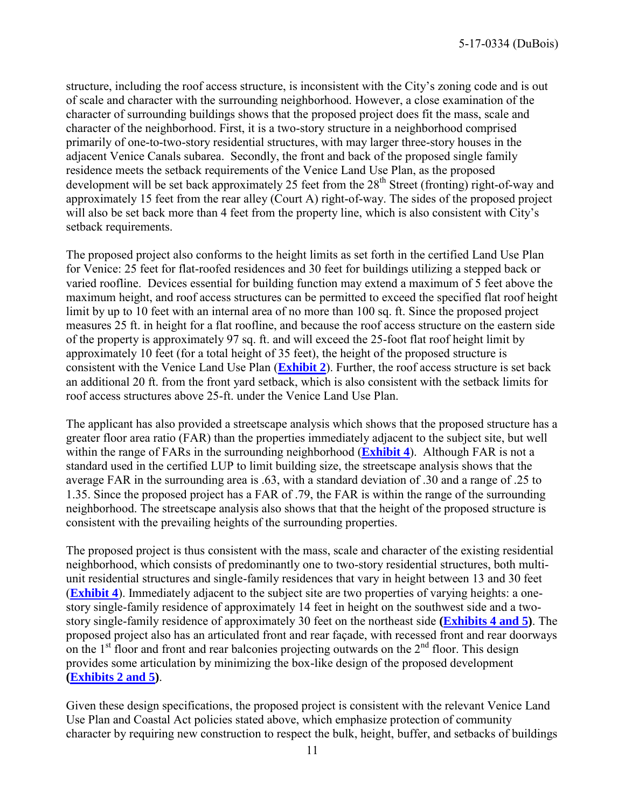structure, including the roof access structure, is inconsistent with the City's zoning code and is out of scale and character with the surrounding neighborhood. However, a close examination of the character of surrounding buildings shows that the proposed project does fit the mass, scale and character of the neighborhood. First, it is a two-story structure in a neighborhood comprised primarily of one-to-two-story residential structures, with may larger three-story houses in the adjacent Venice Canals subarea. Secondly, the front and back of the proposed single family residence meets the setback requirements of the Venice Land Use Plan, as the proposed development will be set back approximately 25 feet from the  $28<sup>th</sup>$  Street (fronting) right-of-way and approximately 15 feet from the rear alley (Court A) right-of-way. The sides of the proposed project will also be set back more than 4 feet from the property line, which is also consistent with City's setback requirements.

The proposed project also conforms to the height limits as set forth in the certified Land Use Plan for Venice: 25 feet for flat-roofed residences and 30 feet for buildings utilizing a stepped back or varied roofline. Devices essential for building function may extend a maximum of 5 feet above the maximum height, and roof access structures can be permitted to exceed the specified flat roof height limit by up to 10 feet with an internal area of no more than 100 sq. ft. Since the proposed project measures 25 ft. in height for a flat roofline, and because the roof access structure on the eastern side of the property is approximately 97 sq. ft. and will exceed the 25-foot flat roof height limit by approximately 10 feet (for a total height of 35 feet), the height of the proposed structure is consistent with the Venice Land Use Plan (**[Exhibit 2](https://documents.coastal.ca.gov/reports/2017/9/th14a/th14a-9-2017-exhibits.pdf)**). Further, the roof access structure is set back an additional 20 ft. from the front yard setback, which is also consistent with the setback limits for roof access structures above 25-ft. under the Venice Land Use Plan.

The applicant has also provided a streetscape analysis which shows that the proposed structure has a greater floor area ratio (FAR) than the properties immediately adjacent to the subject site, but well within the range of FARs in the surrounding neighborhood (**[Exhibit 4](https://documents.coastal.ca.gov/reports/2017/9/th14a/th14a-9-2017-exhibits.pdf)**). Although FAR is not a standard used in the certified LUP to limit building size, the streetscape analysis shows that the average FAR in the surrounding area is .63, with a standard deviation of .30 and a range of .25 to 1.35. Since the proposed project has a FAR of .79, the FAR is within the range of the surrounding neighborhood. The streetscape analysis also shows that that the height of the proposed structure is consistent with the prevailing heights of the surrounding properties.

The proposed project is thus consistent with the mass, scale and character of the existing residential neighborhood, which consists of predominantly one to two-story residential structures, both multiunit residential structures and single-family residences that vary in height between 13 and 30 feet (**[Exhibit 4](https://documents.coastal.ca.gov/reports/2017/9/th14a/th14a-9-2017-exhibits.pdf)**). Immediately adjacent to the subject site are two properties of varying heights: a onestory single-family residence of approximately 14 feet in height on the southwest side and a twostory single-family residence of approximately 30 feet on the northeast side **[\(Exhibits 4](https://documents.coastal.ca.gov/reports/2017/9/th14a/th14a-9-2017-exhibits.pdf) and 5)**. The proposed project also has an articulated front and rear façade, with recessed front and rear doorways on the  $1<sup>st</sup>$  floor and front and rear balconies projecting outwards on the  $2<sup>nd</sup>$  floor. This design provides some articulation by minimizing the box-like design of the proposed development **[\(Exhibits 2](https://documents.coastal.ca.gov/reports/2017/9/th14a/th14a-9-2017-exhibits.pdf) and 5)**.

Given these design specifications, the proposed project is consistent with the relevant Venice Land Use Plan and Coastal Act policies stated above, which emphasize protection of community character by requiring new construction to respect the bulk, height, buffer, and setbacks of buildings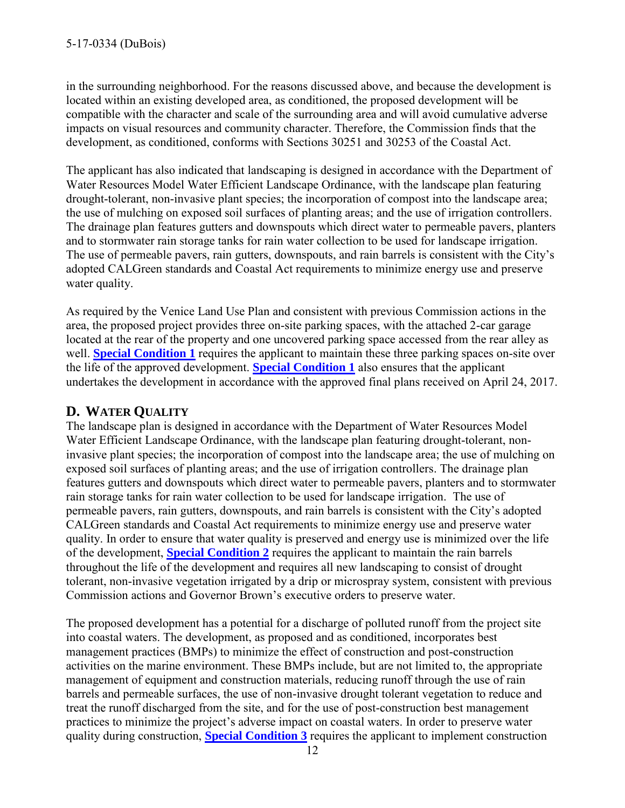in the surrounding neighborhood. For the reasons discussed above, and because the development is located within an existing developed area, as conditioned, the proposed development will be compatible with the character and scale of the surrounding area and will avoid cumulative adverse impacts on visual resources and community character. Therefore, the Commission finds that the development, as conditioned, conforms with Sections 30251 and 30253 of the Coastal Act.

The applicant has also indicated that landscaping is designed in accordance with the Department of Water Resources Model Water Efficient Landscape Ordinance, with the landscape plan featuring drought-tolerant, non-invasive plant species; the incorporation of compost into the landscape area; the use of mulching on exposed soil surfaces of planting areas; and the use of irrigation controllers. The drainage plan features gutters and downspouts which direct water to permeable pavers, planters and to stormwater rain storage tanks for rain water collection to be used for landscape irrigation. The use of permeable pavers, rain gutters, downspouts, and rain barrels is consistent with the City's adopted CALGreen standards and Coastal Act requirements to minimize energy use and preserve water quality.

As required by the Venice Land Use Plan and consistent with previous Commission actions in the area, the proposed project provides three on-site parking spaces, with the attached 2-car garage located at the rear of the property and one uncovered parking space accessed from the rear alley as well. **[Special Condition 1](#page-4-1)** requires the applicant to maintain these three parking spaces on-site over the life of the approved development. **[Special Condition 1](#page-4-1)** also ensures that the applicant undertakes the development in accordance with the approved final plans received on April 24, 2017.

# <span id="page-11-0"></span>**D. WATER QUALITY**

The landscape plan is designed in accordance with the Department of Water Resources Model Water Efficient Landscape Ordinance, with the landscape plan featuring drought-tolerant, noninvasive plant species; the incorporation of compost into the landscape area; the use of mulching on exposed soil surfaces of planting areas; and the use of irrigation controllers. The drainage plan features gutters and downspouts which direct water to permeable pavers, planters and to stormwater rain storage tanks for rain water collection to be used for landscape irrigation. The use of permeable pavers, rain gutters, downspouts, and rain barrels is consistent with the City's adopted CALGreen standards and Coastal Act requirements to minimize energy use and preserve water quality. In order to ensure that water quality is preserved and energy use is minimized over the life of the development, **[Special Condition 2](#page-4-2)** requires the applicant to maintain the rain barrels throughout the life of the development and requires all new landscaping to consist of drought tolerant, non-invasive vegetation irrigated by a drip or microspray system, consistent with previous Commission actions and Governor Brown's executive orders to preserve water.

The proposed development has a potential for a discharge of polluted runoff from the project site into coastal waters. The development, as proposed and as conditioned, incorporates best management practices (BMPs) to minimize the effect of construction and post-construction activities on the marine environment. These BMPs include, but are not limited to, the appropriate management of equipment and construction materials, reducing runoff through the use of rain barrels and permeable surfaces, the use of non-invasive drought tolerant vegetation to reduce and treat the runoff discharged from the site, and for the use of post-construction best management practices to minimize the project's adverse impact on coastal waters. In order to preserve water quality during construction, **[Special Condition 3](#page-4-3)** requires the applicant to implement construction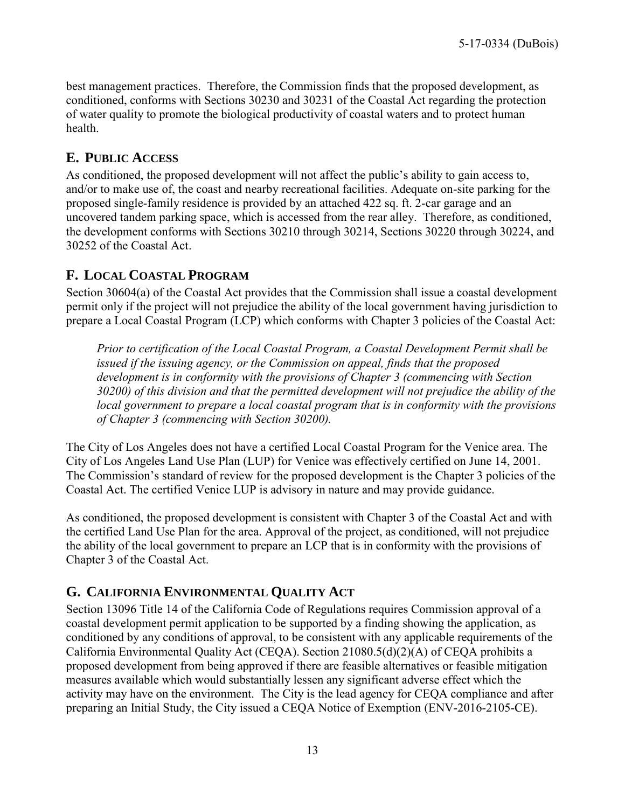best management practices. Therefore, the Commission finds that the proposed development, as conditioned, conforms with Sections 30230 and 30231 of the Coastal Act regarding the protection of water quality to promote the biological productivity of coastal waters and to protect human health.

# <span id="page-12-0"></span>**E. PUBLIC ACCESS**

As conditioned, the proposed development will not affect the public's ability to gain access to, and/or to make use of, the coast and nearby recreational facilities. Adequate on-site parking for the proposed single-family residence is provided by an attached 422 sq. ft. 2-car garage and an uncovered tandem parking space, which is accessed from the rear alley. Therefore, as conditioned, the development conforms with Sections 30210 through 30214, Sections 30220 through 30224, and 30252 of the Coastal Act.

# <span id="page-12-1"></span>**F. LOCAL COASTAL PROGRAM**

Section 30604(a) of the Coastal Act provides that the Commission shall issue a coastal development permit only if the project will not prejudice the ability of the local government having jurisdiction to prepare a Local Coastal Program (LCP) which conforms with Chapter 3 policies of the Coastal Act:

*Prior to certification of the Local Coastal Program, a Coastal Development Permit shall be issued if the issuing agency, or the Commission on appeal, finds that the proposed development is in conformity with the provisions of Chapter 3 (commencing with Section 30200) of this division and that the permitted development will not prejudice the ability of the local government to prepare a local coastal program that is in conformity with the provisions of Chapter 3 (commencing with Section 30200).* 

The City of Los Angeles does not have a certified Local Coastal Program for the Venice area. The City of Los Angeles Land Use Plan (LUP) for Venice was effectively certified on June 14, 2001. The Commission's standard of review for the proposed development is the Chapter 3 policies of the Coastal Act. The certified Venice LUP is advisory in nature and may provide guidance.

As conditioned, the proposed development is consistent with Chapter 3 of the Coastal Act and with the certified Land Use Plan for the area. Approval of the project, as conditioned, will not prejudice the ability of the local government to prepare an LCP that is in conformity with the provisions of Chapter 3 of the Coastal Act.

# <span id="page-12-2"></span>**G. CALIFORNIA ENVIRONMENTAL QUALITY ACT**

Section 13096 Title 14 of the California Code of Regulations requires Commission approval of a coastal development permit application to be supported by a finding showing the application, as conditioned by any conditions of approval, to be consistent with any applicable requirements of the California Environmental Quality Act (CEQA). Section 21080.5(d)(2)(A) of CEQA prohibits a proposed development from being approved if there are feasible alternatives or feasible mitigation measures available which would substantially lessen any significant adverse effect which the activity may have on the environment. The City is the lead agency for CEQA compliance and after preparing an Initial Study, the City issued a CEQA Notice of Exemption (ENV-2016-2105-CE).